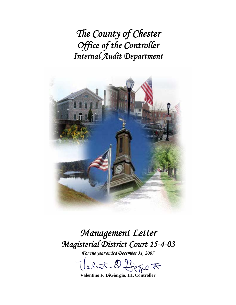*The County of Chester Office of the Controller Internal Audit Department* 



# *Management Letter Magisterial District Court 15-4-03*

*For the year ended December 31, 2007* 

let O. Hirrio <del>to</del>

**Valentino F. DiGiorgio, III, Controller**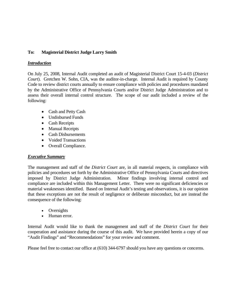## **To: Magisterial District Judge Larry Smith**

## *Introduction*

On July 25, 2008, Internal Audit completed an audit of Magisterial District Court 15-4-03 (*District Court*). Gretchen W. Sohn, CIA, was the auditor-in-charge. Internal Audit is required by County Code to review district courts annually to ensure compliance with policies and procedures mandated by the Administrative Office of Pennsylvania Courts and/or District Judge Administration and to assess their overall internal control structure. The scope of our audit included a review of the following:

- Cash and Petty Cash
- Undisbursed Funds
- Cash Receipts
- Manual Receipts
- Cash Disbursements
- Voided Transactions
- Overall Compliance.

## *Executive Summary*

The management and staff of the *District Court* are, in all material respects, in compliance with policies and procedures set forth by the Administrative Office of Pennsylvania Courts and directives imposed by District Judge Administration. Minor findings involving internal control and compliance are included within this Management Letter. There were no significant deficiencies or material weaknesses identified. Based on Internal Audit's testing and observations, it is our opinion that these exceptions are not the result of negligence or deliberate misconduct, but are instead the consequence of the following:

- Oversights
- Human error.

Internal Audit would like to thank the management and staff of the *District Court* for their cooperation and assistance during the course of this audit. We have provided herein a copy of our "Audit Findings" and "Recommendations" for your review and comment.

Please feel free to contact our office at (610) 344-6797 should you have any questions or concerns.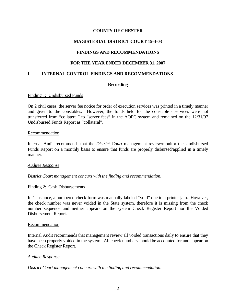## **MAGISTERIAL DISTRICT COURT 15-4-03**

## **FINDINGS AND RECOMMENDATIONS**

## **FOR THE YEAR ENDED DECEMBER 31, 2007**

### **I. INTERNAL CONTROL FINDINGS AND RECOMMENDATIONS**

## **Recording**

#### Finding 1: Undisbursed Funds

On 2 civil cases, the server fee notice for order of execution services was printed in a timely manner and given to the constables. However, the funds held for the constable's services were not transferred from "collateral" to "server fees" in the AOPC system and remained on the 12/31/07 Undisbursed Funds Report as "collateral".

#### Recommendation

Internal Audit recommends that the *District Court* management review/monitor the Undisbursed Funds Report on a monthly basis to ensure that funds are properly disbursed/applied in a timely manner.

#### *Auditee Response*

*District Court management concurs with the finding and recommendation.* 

#### Finding 2: Cash Disbursements

In 1 instance, a numbered check form was manually labeled "void" due to a printer jam. However, the check number was never voided in the State system, therefore it is missing from the check number sequence and neither appears on the system Check Register Report nor the Voided Disbursement Report.

#### Recommendation

Internal Audit recommends that management review all voided transactions daily to ensure that they have been properly voided in the system. All check numbers should be accounted for and appear on the Check Register Report.

#### *Auditee Response*

*District Court management concurs with the finding and recommendation.*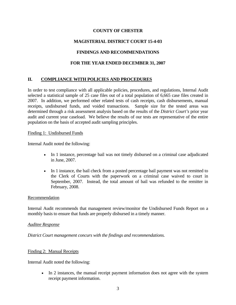# **MAGISTERIAL DISTRICT COURT 15-4-03**

## **FINDINGS AND RECOMMENDATIONS**

## **FOR THE YEAR ENDED DECEMBER 31, 2007**

# **II. COMPLIANCE WITH POLICIES AND PROCEDURES**

In order to test compliance with all applicable policies, procedures, and regulations, Internal Audit selected a statistical sample of 25 case files out of a total population of 6,665 case files created in 2007. In addition, we performed other related tests of cash receipts, cash disbursements, manual receipts, undisbursed funds, and voided transactions. Sample size for the tested areas was determined through a risk assessment analysis based on the results of the *District Court's* prior year audit and current year caseload. We believe the results of our tests are representative of the entire population on the basis of accepted audit sampling principles.

#### Finding 1: Undisbursed Funds

Internal Audit noted the following:

- In 1 instance, percentage bail was not timely disbursed on a criminal case adjudicated in June, 2007.
- In 1 instance, the bail check from a posted percentage bail payment was not remitted to the Clerk of Courts with the paperwork on a criminal case waived to court in September, 2007. Instead, the total amount of bail was refunded to the remitter in February, 2008.

#### Recommendation

Internal Audit recommends that management review/monitor the Undisbursed Funds Report on a monthly basis to ensure that funds are properly disbursed in a timely manner.

#### *Auditee Response*

*District Court management concurs with the findings and recommendations.* 

#### Finding 2: Manual Receipts

Internal Audit noted the following:

• In 2 instances, the manual receipt payment information does not agree with the system receipt payment information.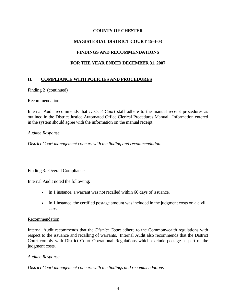# **MAGISTERIAL DISTRICT COURT 15-4-03**

# **FINDINGS AND RECOMMENDATIONS**

# **FOR THE YEAR ENDED DECEMBER 31, 2007**

# **II. COMPLIANCE WITH POLICIES AND PROCEDURES**

Finding 2 (continued)

#### Recommendation

Internal Audit recommends that *District Court* staff adhere to the manual receipt procedures as outlined in the District Justice Automated Office Clerical Procedures Manual. Information entered in the system should agree with the information on the manual receipt.

#### *Auditee Response*

*District Court management concurs with the finding and recommendation.* 

## Finding 3: Overall Compliance

Internal Audit noted the following:

- In 1 instance, a warrant was not recalled within 60 days of issuance.
- In 1 instance, the certified postage amount was included in the judgment costs on a civil case.

#### **Recommendation**

Internal Audit recommends that the *District Court* adhere to the Commonwealth regulations with respect to the issuance and recalling of warrants. Internal Audit also recommends that the District Court comply with District Court Operational Regulations which exclude postage as part of the judgment costs.

#### *Auditee Response*

*District Court management concurs with the findings and recommendations.*